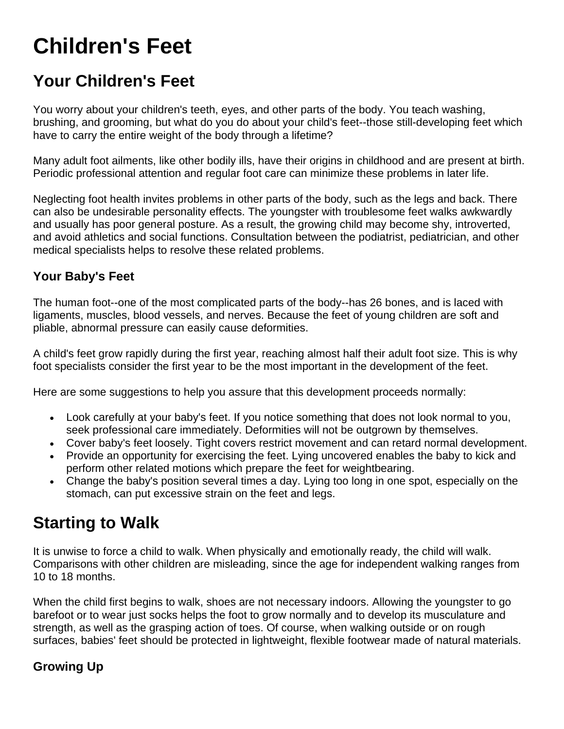# **Children's Feet**

## **Your Children's Feet**

You worry about your children's teeth, eyes, and other parts of the body. You teach washing, brushing, and grooming, but what do you do about your child's feet--those still-developing feet which have to carry the entire weight of the body through a lifetime?

Many adult foot ailments, like other bodily ills, have their origins in childhood and are present at birth. Periodic professional attention and regular foot care can minimize these problems in later life.

Neglecting foot health invites problems in other parts of the body, such as the legs and back. There can also be undesirable personality effects. The youngster with troublesome feet walks awkwardly and usually has poor general posture. As a result, the growing child may become shy, introverted, and avoid athletics and social functions. Consultation between the podiatrist, pediatrician, and other medical specialists helps to resolve these related problems.

#### **Your Baby's Feet**

The human foot--one of the most complicated parts of the body--has 26 bones, and is laced with ligaments, muscles, blood vessels, and nerves. Because the feet of young children are soft and pliable, abnormal pressure can easily cause deformities.

A child's feet grow rapidly during the first year, reaching almost half their adult foot size. This is why foot specialists consider the first year to be the most important in the development of the feet.

Here are some suggestions to help you assure that this development proceeds normally:

- Look carefully at your baby's feet. If you notice something that does not look normal to you, seek professional care immediately. Deformities will not be outgrown by themselves.
- Cover baby's feet loosely. Tight covers restrict movement and can retard normal development.
- Provide an opportunity for exercising the feet. Lying uncovered enables the baby to kick and perform other related motions which prepare the feet for weightbearing.
- Change the baby's position several times a day. Lying too long in one spot, especially on the stomach, can put excessive strain on the feet and legs.

### **Starting to Walk**

It is unwise to force a child to walk. When physically and emotionally ready, the child will walk. Comparisons with other children are misleading, since the age for independent walking ranges from 10 to 18 months.

When the child first begins to walk, shoes are not necessary indoors. Allowing the youngster to go barefoot or to wear just socks helps the foot to grow normally and to develop its musculature and strength, as well as the grasping action of toes. Of course, when walking outside or on rough surfaces, babies' feet should be protected in lightweight, flexible footwear made of natural materials.

#### **Growing Up**